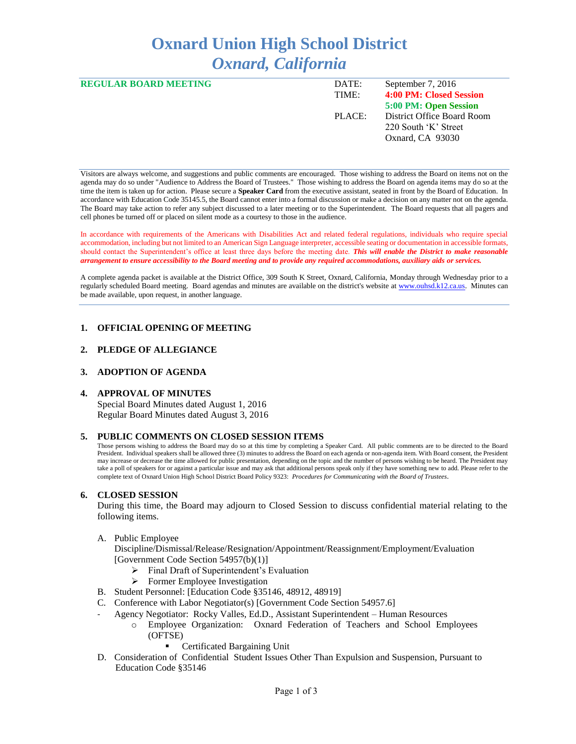# **Oxnard Union High School District** *Oxnard, California*

| <b>REGULAR BOARD MEETING</b> | DATE:  | September 7, 2016          |
|------------------------------|--------|----------------------------|
|                              | TIME:  | 4:00 PM: Closed Session    |
|                              |        | 5:00 PM: Open Session      |
|                              | PLACE: | District Office Board Room |
|                              |        | 220 South 'K' Street       |
|                              |        | Oxnard, CA 93030           |
|                              |        |                            |

Visitors are always welcome, and suggestions and public comments are encouraged. Those wishing to address the Board on items not on the agenda may do so under "Audience to Address the Board of Trustees." Those wishing to address the Board on agenda items may do so at the time the item is taken up for action. Please secure a **Speaker Card** from the executive assistant, seated in front by the Board of Education. In accordance with Education Code 35145.5, the Board cannot enter into a formal discussion or make a decision on any matter not on the agenda. The Board may take action to refer any subject discussed to a later meeting or to the Superintendent. The Board requests that all pagers and cell phones be turned off or placed on silent mode as a courtesy to those in the audience.

In accordance with requirements of the Americans with Disabilities Act and related federal regulations, individuals who require special accommodation, including but not limited to an American Sign Language interpreter, accessible seating or documentation in accessible formats, should contact the Superintendent's office at least three days before the meeting date. *This will enable the District to make reasonable arrangement to ensure accessibility to the Board meeting and to provide any required accommodations, auxiliary aids or services.* 

A complete agenda packet is available at the District Office, 309 South K Street, Oxnard, California, Monday through Wednesday prior to a regularly scheduled Board meeting. Board agendas and minutes are available on the district's website a[t www.ouhsd.k12.ca.us.](http://www.ouhsd.k12.ca.us/)Minutes can be made available, upon request, in another language.

## **1. OFFICIAL OPENING OF MEETING**

#### **2. PLEDGE OF ALLEGIANCE**

#### **3. ADOPTION OF AGENDA**

#### **4. APPROVAL OF MINUTES**

Special Board Minutes dated August 1, 2016 Regular Board Minutes dated August 3, 2016

#### **5. PUBLIC COMMENTS ON CLOSED SESSION ITEMS**

Those persons wishing to address the Board may do so at this time by completing a Speaker Card. All public comments are to be directed to the Board President. Individual speakers shall be allowed three (3) minutes to address the Board on each agenda or non-agenda item. With Board consent, the President may increase or decrease the time allowed for public presentation, depending on the topic and the number of persons wishing to be heard. The President may take a poll of speakers for or against a particular issue and may ask that additional persons speak only if they have something new to add. Please refer to the complete text of Oxnard Union High School District Board Policy 9323: *Procedures for Communicating with the Board of Trustees*.

#### **6. CLOSED SESSION**

During this time, the Board may adjourn to Closed Session to discuss confidential material relating to the following items.

A. Public Employee

Discipline/Dismissal/Release/Resignation/Appointment/Reassignment/Employment/Evaluation [Government Code Section 54957(b)(1)]

- Final Draft of Superintendent's Evaluation
- > Former Employee Investigation
- B. Student Personnel: [Education Code §35146, 48912, 48919]
- C. Conference with Labor Negotiator(s) [Government Code Section 54957.6]
- Agency Negotiator: Rocky Valles, Ed.D., Assistant Superintendent Human Resources
	- o Employee Organization: Oxnard Federation of Teachers and School Employees (OFTSE)
		- Certificated Bargaining Unit
- D. Consideration of Confidential Student Issues Other Than Expulsion and Suspension, Pursuant to Education Code §35146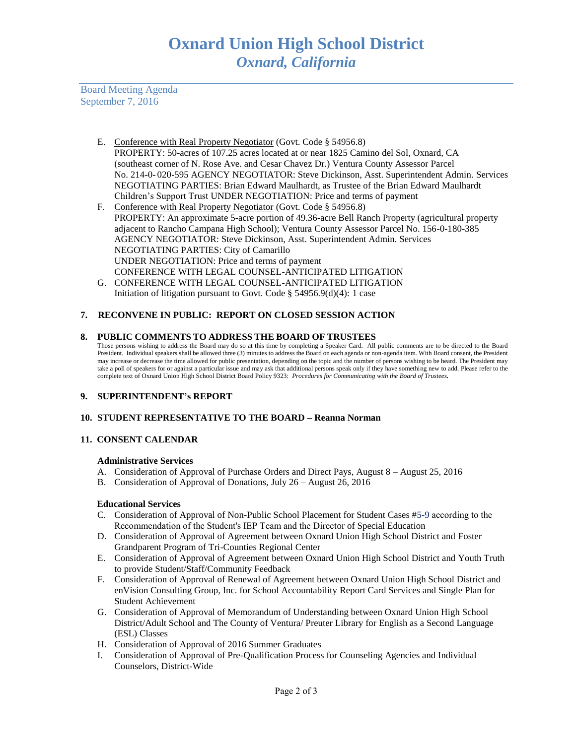Board Meeting Agenda September 7, 2016

- E. Conference with Real Property Negotiator (Govt. Code § 54956.8) PROPERTY: 50-acres of 107.25 acres located at or near 1825 Camino del Sol, Oxnard, CA (southeast corner of N. Rose Ave. and Cesar Chavez Dr.) Ventura County Assessor Parcel No. 214-0- 020-595 AGENCY NEGOTIATOR: Steve Dickinson, Asst. Superintendent Admin. Services NEGOTIATING PARTIES: Brian Edward Maulhardt, as Trustee of the Brian Edward Maulhardt Children's Support Trust UNDER NEGOTIATION: Price and terms of payment
- F. Conference with Real Property Negotiator (Govt. Code § 54956.8) PROPERTY: An approximate 5-acre portion of 49.36-acre Bell Ranch Property (agricultural property adjacent to Rancho Campana High School); Ventura County Assessor Parcel No. 156-0-180-385 AGENCY NEGOTIATOR: Steve Dickinson, Asst. Superintendent Admin. Services NEGOTIATING PARTIES: City of Camarillo UNDER NEGOTIATION: Price and terms of payment CONFERENCE WITH LEGAL COUNSEL-ANTICIPATED LITIGATION
- G. CONFERENCE WITH LEGAL COUNSEL-ANTICIPATED LITIGATION Initiation of litigation pursuant to Govt. Code § 54956.9(d)(4): 1 case

# **7. RECONVENE IN PUBLIC: REPORT ON CLOSED SESSION ACTION**

## **8. PUBLIC COMMENTS TO ADDRESS THE BOARD OF TRUSTEES**

Those persons wishing to address the Board may do so at this time by completing a Speaker Card. All public comments are to be directed to the Board President. Individual speakers shall be allowed three (3) minutes to address the Board on each agenda or non-agenda item. With Board consent, the President may increase or decrease the time allowed for public presentation, depending on the topic and the number of persons wishing to be heard. The President may take a poll of speakers for or against a particular issue and may ask that additional persons speak only if they have something new to add. Please refer to the complete text of Oxnard Union High School District Board Policy 9323: *Procedures for Communicating with the Board of Trustees.*

## **9. SUPERINTENDENT's REPORT**

# **10. STUDENT REPRESENTATIVE TO THE BOARD – Reanna Norman**

# **11. CONSENT CALENDAR**

## **Administrative Services**

- A. Consideration of Approval of Purchase Orders and Direct Pays, August 8 August 25, 2016
- B. Consideration of Approval of Donations, July 26 August 26, 2016

# **Educational Services**

- C. Consideration of Approval of Non-Public School Placement for Student Cases #5-9 according to the Recommendation of the Student's IEP Team and the Director of Special Education
- D. Consideration of Approval of Agreement between Oxnard Union High School District and Foster Grandparent Program of Tri-Counties Regional Center
- E. Consideration of Approval of Agreement between Oxnard Union High School District and Youth Truth to provide Student/Staff/Community Feedback
- F. Consideration of Approval of Renewal of Agreement between Oxnard Union High School District and enVision Consulting Group, Inc. for School Accountability Report Card Services and Single Plan for Student Achievement
- G. Consideration of Approval of Memorandum of Understanding between Oxnard Union High School District/Adult School and The County of Ventura/ Preuter Library for English as a Second Language (ESL) Classes
- H. Consideration of Approval of 2016 Summer Graduates
- I. Consideration of Approval of Pre-Qualification Process for Counseling Agencies and Individual Counselors, District-Wide